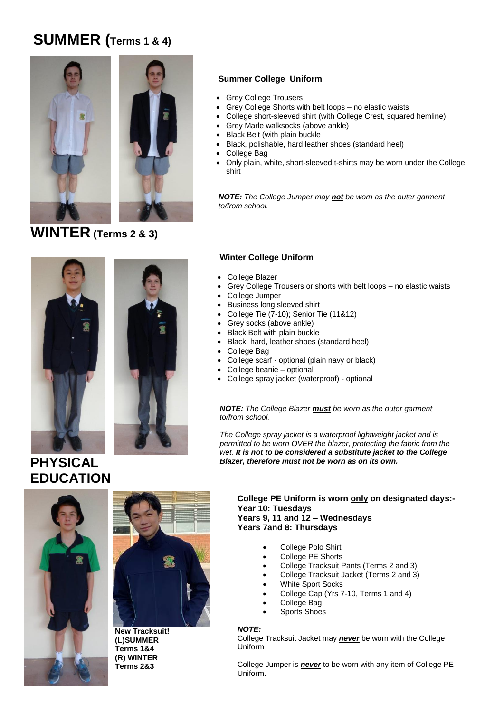## **SUMMER (Terms 1 & 4)**



**WINTER (Terms 2 & 3)**

### **Summer College Uniform**

- Grey College Trousers
- Grey College Shorts with belt loops no elastic waists
	- College short-sleeved shirt (with College Crest, squared hemline)
- Grey Marle walksocks (above ankle)
- Black Belt (with plain buckle
- Black, polishable, hard leather shoes (standard heel)
- College Bag
- Only plain, white, short-sleeved t-shirts may be worn under the College shirt

*NOTE: The College Jumper may not be worn as the outer garment to/from school.*

### **Winter College Uniform**

- College Blazer
- Grey College Trousers or shorts with belt loops no elastic waists
- College Jumper
- Business long sleeved shirt
- College Tie (7-10); Senior Tie (11&12)
- Grey socks (above ankle)
- Black Belt with plain buckle
- Black, hard, leather shoes (standard heel)
- College Bag
- College scarf optional (plain navy or black)
- College beanie optional
- College spray jacket (waterproof) optional

*NOTE: The College Blazer must be worn as the outer garment to/from school.*

*The College spray jacket is a waterproof lightweight jacket and is permitted to be worn OVER the blazer, protecting the fabric from the wet. It is not to be considered a substitute jacket to the College Blazer, therefore must not be worn as on its own.* 

**PHYSICAL** 







**(L)SUMMER Terms 1&4 (R) WINTER Terms 2&3**

**College PE Uniform is worn only on designated days:- Year 10: Tuesdays Years 9, 11 and 12 – Wednesdays Years 7and 8: Thursdays**

- College Polo Shirt
- College PE Shorts
- College Tracksuit Pants (Terms 2 and 3)
- College Tracksuit Jacket (Terms 2 and 3)
- White Sport Socks
- College Cap (Yrs 7-10, Terms 1 and 4)
- College Bag
- Sports Shoes

#### *NOTE:*

College Tracksuit Jacket may *never* be worn with the College Uniform

College Jumper is *never* to be worn with any item of College PE Uniform.

# **EDUCATION**